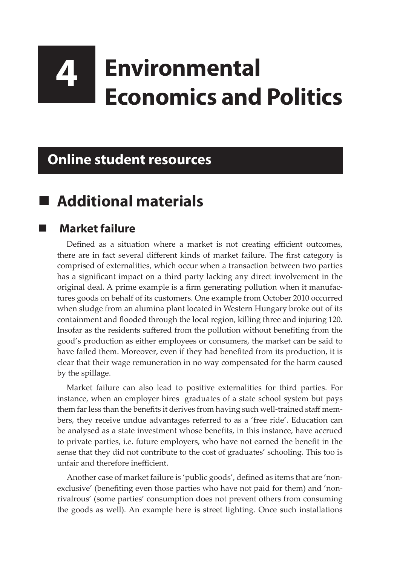# **4 Environmental Economics and Politics**

#### **Online student resources**

## **Additional materials**

#### **Market failure**

Defined as a situation where a market is not creating efficient outcomes, there are in fact several different kinds of market failure. The first category is comprised of externalities, which occur when a transaction between two parties has a significant impact on a third party lacking any direct involvement in the original deal. A prime example is a firm generating pollution when it manufactures goods on behalf of its customers. One example from October 2010 occurred when sludge from an alumina plant located in Western Hungary broke out of its containment and flooded through the local region, killing three and injuring 120. Insofar as the residents suffered from the pollution without benefiting from the good's production as either employees or consumers, the market can be said to have failed them. Moreover, even if they had benefited from its production, it is clear that their wage remuneration in no way compensated for the harm caused by the spillage.

Market failure can also lead to positive externalities for third parties. For instance, when an employer hires graduates of a state school system but pays them far less than the benefits it derives from having such well-trained staff members, they receive undue advantages referred to as a 'free ride'. Education can be analysed as a state investment whose benefits, in this instance, have accrued to private parties, i.e. future employers, who have not earned the benefit in the sense that they did not contribute to the cost of graduates' schooling. This too is unfair and therefore inefficient.

Another case of market failure is 'public goods', defined as items that are 'nonexclusive' (benefiting even those parties who have not paid for them) and 'nonrivalrous' (some parties' consumption does not prevent others from consuming the goods as well). An example here is street lighting. Once such installations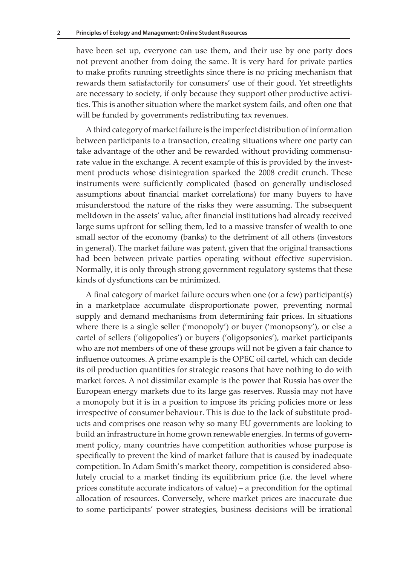have been set up, everyone can use them, and their use by one party does not prevent another from doing the same. It is very hard for private parties to make profits running streetlights since there is no pricing mechanism that rewards them satisfactorily for consumers' use of their good. Yet streetlights are necessary to society, if only because they support other productive activities. This is another situation where the market system fails, and often one that will be funded by governments redistributing tax revenues.

A third category of market failure is the imperfect distribution of information between participants to a transaction, creating situations where one party can take advantage of the other and be rewarded without providing commensurate value in the exchange. A recent example of this is provided by the investment products whose disintegration sparked the 2008 credit crunch. These instruments were sufficiently complicated (based on generally undisclosed assumptions about financial market correlations) for many buyers to have misunderstood the nature of the risks they were assuming. The subsequent meltdown in the assets' value, after financial institutions had already received large sums upfront for selling them, led to a massive transfer of wealth to one small sector of the economy (banks) to the detriment of all others (investors in general). The market failure was patent, given that the original transactions had been between private parties operating without effective supervision. Normally, it is only through strong government regulatory systems that these kinds of dysfunctions can be minimized.

A final category of market failure occurs when one (or a few) participant(s) in a marketplace accumulate disproportionate power, preventing normal supply and demand mechanisms from determining fair prices. In situations where there is a single seller ('monopoly') or buyer ('monopsony'), or else a cartel of sellers ('oligopolies') or buyers ('oligopsonies'), market participants who are not members of one of these groups will not be given a fair chance to influence outcomes. A prime example is the OPEC oil cartel, which can decide its oil production quantities for strategic reasons that have nothing to do with market forces. A not dissimilar example is the power that Russia has over the European energy markets due to its large gas reserves. Russia may not have a monopoly but it is in a position to impose its pricing policies more or less irrespective of consumer behaviour. This is due to the lack of substitute products and comprises one reason why so many EU governments are looking to build an infrastructure in home grown renewable energies. In terms of government policy, many countries have competition authorities whose purpose is specifically to prevent the kind of market failure that is caused by inadequate competition. In Adam Smith's market theory, competition is considered absolutely crucial to a market finding its equilibrium price (i.e. the level where prices constitute accurate indicators of value) – a precondition for the optimal allocation of resources. Conversely, where market prices are inaccurate due to some participants' power strategies, business decisions will be irrational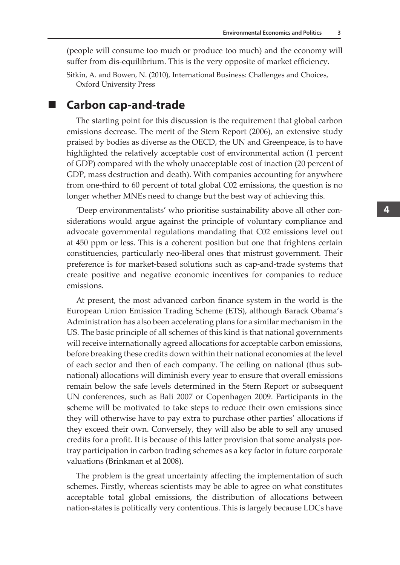(people will consume too much or produce too much) and the economy will suffer from dis-equilibrium. This is the very opposite of market efficiency.

Sitkin, A. and Bowen, N. (2010), International Business: Challenges and Choices, Oxford University Press

**Carbon cap-and-trade**

The starting point for this discussion is the requirement that global carbon emissions decrease. The merit of the Stern Report (2006), an extensive study praised by bodies as diverse as the OECD, the UN and Greenpeace, is to have highlighted the relatively acceptable cost of environmental action (1 percent of GDP) compared with the wholy unacceptable cost of inaction (20 percent of GDP, mass destruction and death). With companies accounting for anywhere from one-third to 60 percent of total global C02 emissions, the question is no longer whether MNEs need to change but the best way of achieving this.

'Deep environmentalists' who prioritise sustainability above all other considerations would argue against the principle of voluntary compliance and advocate governmental regulations mandating that C02 emissions level out at 450 ppm or less. This is a coherent position but one that frightens certain constituencies, particularly neo-liberal ones that mistrust government. Their preference is for market-based solutions such as cap-and-trade systems that create positive and negative economic incentives for companies to reduce emissions.

At present, the most advanced carbon finance system in the world is the European Union Emission Trading Scheme (ETS), although Barack Obama's Administration has also been accelerating plans for a similar mechanism in the US. The basic principle of all schemes of this kind is that national governments will receive internationally agreed allocations for acceptable carbon emissions, before breaking these credits down within their national economies at the level of each sector and then of each company. The ceiling on national (thus subnational) allocations will diminish every year to ensure that overall emissions remain below the safe levels determined in the Stern Report or subsequent UN conferences, such as Bali 2007 or Copenhagen 2009. Participants in the scheme will be motivated to take steps to reduce their own emissions since they will otherwise have to pay extra to purchase other parties' allocations if they exceed their own. Conversely, they will also be able to sell any unused credits for a profit. It is because of this latter provision that some analysts portray participation in carbon trading schemes as a key factor in future corporate valuations (Brinkman et al 2008).

The problem is the great uncertainty affecting the implementation of such schemes. Firstly, whereas scientists may be able to agree on what constitutes acceptable total global emissions, the distribution of allocations between nation-states is politically very contentious. This is largely because LDCs have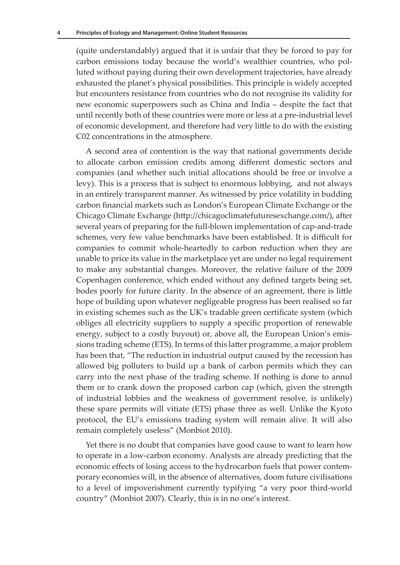(quite understandably) argued that it is unfair that they be forced to pay for carbon emissions today because the world's wealthier countries, who polluted without paying during their own development trajectories, have already exhausted the planet's physical possibilities. This principle is widely accepted but encounters resistance from countries who do not recognise its validity for new economic superpowers such as China and India – despite the fact that until recently both of these countries were more or less at a pre-industrial level of economic development, and therefore had very little to do with the existing C02 concentrations in the atmosphere.

A second area of contention is the way that national governments decide to allocate carbon emission credits among different domestic sectors and companies (and whether such initial allocations should be free or involve a levy). This is a process that is subject to enormous lobbying, and not always in an entirely transparent manner. As witnessed by price volatility in budding carbon financial markets such as London's European Climate Exchange or the Chicago Climate Exchange (http://chicagoclimatefuturesexchange.com/), after several years of preparing for the full-blown implementation of cap-and-trade schemes, very few value benchmarks have been established. It is difficult for companies to commit whole-heartedly to carbon reduction when they are unable to price its value in the marketplace yet are under no legal requirement to make any substantial changes. Moreover, the relative failure of the 2009 Copenhagen conference, which ended without any defined targets being set, bodes poorly for future clarity. In the absence of an agreement, there is little hope of building upon whatever negligeable progress has been realised so far in existing schemes such as the UK's tradable green certificate system (which obliges all electricity suppliers to supply a specific proportion of renewable energy, subject to a costly buyout) or, above all, the European Union's emissions trading scheme (ETS). In terms of this latter programme, a major problem has been that, "The reduction in industrial output caused by the recession has allowed big polluters to build up a bank of carbon permits which they can carry into the next phase of the trading scheme. If nothing is done to annul them or to crank down the proposed carbon cap (which, given the strength of industrial lobbies and the weakness of government resolve, is unlikely) these spare permits will vitiate (ETS) phase three as well. Unlike the Kyoto protocol, the EU's emissions trading system will remain alive. It will also remain completely useless" (Monbiot 2010).

Yet there is no doubt that companies have good cause to want to learn how to operate in a low-carbon economy. Analysts are already predicting that the economic effects of losing access to the hydrocarbon fuels that power contemporary economies will, in the absence of alternatives, doom future civilisations to a level of impoverishment currently typifying "a very poor third-world country" (Monbiot 2007). Clearly, this is in no one's interest.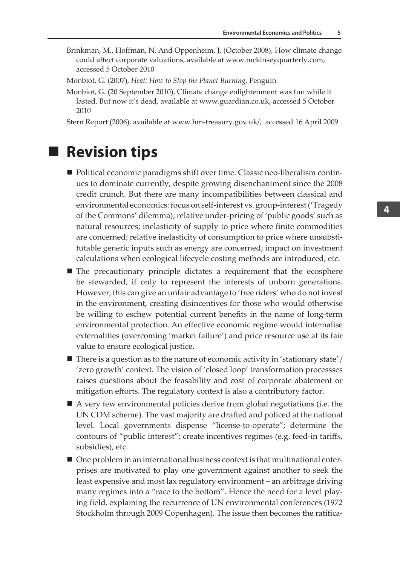Brinkman, M., Hoffman, N. And Oppenheim, J. (October 2008), How climate change could affect corporate valuations, available at www.mckinseyquarterly.com, accessed 5 October 2010

Monbiot, G. (2007), *Heat: How to Stop the Planet Burning*, Penguin

Monbiot, G. (20 September 2010), Climate change enlightenment was fun while it lasted. But now it's dead, available at www.guardian.co.uk, accessed 5 October 2010

Stern Report (2006), available at www.hm-treasury.gov.uk/, accessed 16 April 2009

#### ■ Revision tips

- Political economic paradigms shift over time. Classic neo-liberalism continues to dominate currently, despite growing disenchantment since the 2008 credit crunch. But there are many incompatibilities between classical and environmental economics: focus on self-interest vs. group-interest ('Tragedy of the Commons' dilemma); relative under-pricing of 'public goods' such as natural resources; inelasticity of supply to price where finite commodities are concerned; relative inelasticity of consumption to price where unsubstitutable generic inputs such as energy are concerned; impact on investment calculations when ecological lifecycle costing methods are introduced, etc.
- The precautionary principle dictates a requirement that the ecosphere be stewarded, if only to represent the interests of unborn generations. However, this can give an unfair advantage to 'free riders' who do not invest in the environment, creating disincentives for those who would otherwise be willing to eschew potential current benefits in the name of long-term environmental protection. An effective economic regime would internalise externalities (overcoming 'market failure') and price resource use at its fair value to ensure ecological justice.
- $\blacksquare$  There is a question as to the nature of economic activity in 'stationary state' / 'zero growth' context. The vision of 'closed loop' transformation processses raises questions about the feasability and cost of corporate abatement or mitigation efforts. The regulatory context is also a contributory factor.
- A very few environmental policies derive from global negotiations (i.e. the UN CDM scheme). The vast majority are drafted and policed at the national level. Local governments dispense "license-to-operate"; determine the contours of "public interest"; create incentives regimes (e.g. feed-in tariffs, subsidies), etc.
- One problem in an international business context is that multinational enterprises are motivated to play one government against another to seek the least expensive and most lax regulatory environment – an arbitrage driving many regimes into a "race to the bottom". Hence the need for a level playing field, explaining the recurrence of UN environmental conferences (1972 Stockholm through 2009 Copenhagen). The issue then becomes the ratifica-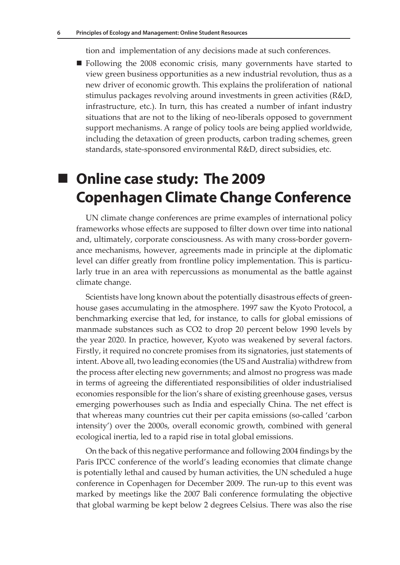tion and implementation of any decisions made at such conferences.

 Following the 2008 economic crisis, many governments have started to view green business opportunities as a new industrial revolution, thus as a new driver of economic growth. This explains the proliferation of national stimulus packages revolving around investments in green activities (R&D, infrastructure, etc.). In turn, this has created a number of infant industry situations that are not to the liking of neo-liberals opposed to government support mechanisms. A range of policy tools are being applied worldwide, including the detaxation of green products, carbon trading schemes, green standards, state-sponsored environmental R&D, direct subsidies, etc.

# **Online case study: The 2009 Copenhagen Climate Change Conference**

UN climate change conferences are prime examples of international policy frameworks whose effects are supposed to filter down over time into national and, ultimately, corporate consciousness. As with many cross-border governance mechanisms, however, agreements made in principle at the diplomatic level can differ greatly from frontline policy implementation. This is particularly true in an area with repercussions as monumental as the battle against climate change.

Scientists have long known about the potentially disastrous effects of greenhouse gases accumulating in the atmosphere. 1997 saw the Kyoto Protocol, a benchmarking exercise that led, for instance, to calls for global emissions of manmade substances such as CO2 to drop 20 percent below 1990 levels by the year 2020. In practice, however, Kyoto was weakened by several factors. Firstly, it required no concrete promises from its signatories, just statements of intent. Above all, two leading economies (the US and Australia) withdrew from the process after electing new governments; and almost no progress was made in terms of agreeing the differentiated responsibilities of older industrialised economies responsible for the lion's share of existing greenhouse gases, versus emerging powerhouses such as India and especially China. The net effect is that whereas many countries cut their per capita emissions (so-called 'carbon intensity') over the 2000s, overall economic growth, combined with general ecological inertia, led to a rapid rise in total global emissions.

On the back of this negative performance and following 2004 findings by the Paris IPCC conference of the world's leading economies that climate change is potentially lethal and caused by human activities, the UN scheduled a huge conference in Copenhagen for December 2009. The run-up to this event was marked by meetings like the 2007 Bali conference formulating the objective that global warming be kept below 2 degrees Celsius. There was also the rise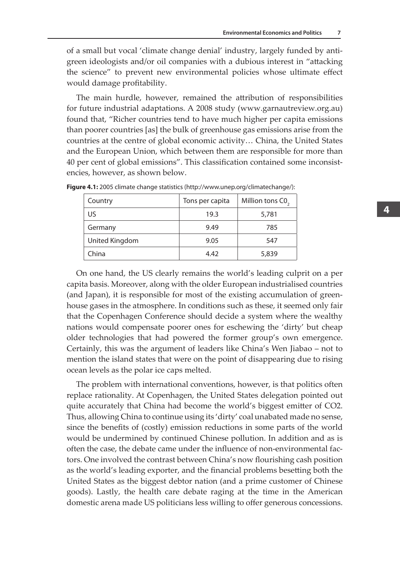of a small but vocal 'climate change denial' industry, largely funded by antigreen ideologists and/or oil companies with a dubious interest in "attacking the science" to prevent new environmental policies whose ultimate effect would damage profitability.

The main hurdle, however, remained the attribution of responsibilities for future industrial adaptations. A 2008 study (www.garnautreview.org.au) found that, "Richer countries tend to have much higher per capita emissions than poorer countries [as] the bulk of greenhouse gas emissions arise from the countries at the centre of global economic activity… China, the United States and the European Union, which between them are responsible for more than 40 per cent of global emissions". This classification contained some inconsistencies, however, as shown below.

| Country        | Tons per capita | Million tons C0, |
|----------------|-----------------|------------------|
| US             | 19.3            | 5,781            |
| Germany        | 9.49            | 785              |
| United Kingdom | 9.05            | 547              |
| China          | 4.42            | 5,839            |

**Figure 4.1:** 2005 climate change statistics (http://www.unep.org/climatechange/):

On one hand, the US clearly remains the world's leading culprit on a per capita basis. Moreover, along with the older European industrialised countries (and Japan), it is responsible for most of the existing accumulation of greenhouse gases in the atmosphere. In conditions such as these, it seemed only fair that the Copenhagen Conference should decide a system where the wealthy nations would compensate poorer ones for eschewing the 'dirty' but cheap older technologies that had powered the former group's own emergence. Certainly, this was the argument of leaders like China's Wen Jiabao – not to mention the island states that were on the point of disappearing due to rising ocean levels as the polar ice caps melted.

The problem with international conventions, however, is that politics often replace rationality. At Copenhagen, the United States delegation pointed out quite accurately that China had become the world's biggest emitter of CO2. Thus, allowing China to continue using its 'dirty' coal unabated made no sense, since the benefits of (costly) emission reductions in some parts of the world would be undermined by continued Chinese pollution. In addition and as is often the case, the debate came under the influence of non-environmental factors. One involved the contrast between China's now flourishing cash position as the world's leading exporter, and the financial problems besetting both the United States as the biggest debtor nation (and a prime customer of Chinese goods). Lastly, the health care debate raging at the time in the American domestic arena made US politicians less willing to offer generous concessions.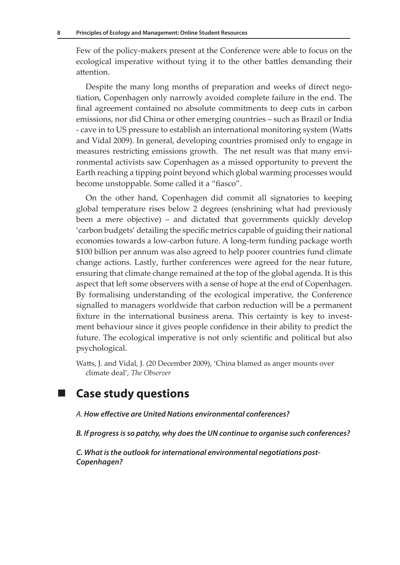Few of the policy-makers present at the Conference were able to focus on the ecological imperative without tying it to the other battles demanding their attention.

Despite the many long months of preparation and weeks of direct negotiation, Copenhagen only narrowly avoided complete failure in the end. The final agreement contained no absolute commitments to deep cuts in carbon emissions, nor did China or other emerging countries – such as Brazil or India - cave in to US pressure to establish an international monitoring system (Watts and Vidal 2009). In general, developing countries promised only to engage in measures restricting emissions growth. The net result was that many environmental activists saw Copenhagen as a missed opportunity to prevent the Earth reaching a tipping point beyond which global warming processes would become unstoppable. Some called it a "fiasco".

On the other hand, Copenhagen did commit all signatories to keeping global temperature rises below 2 degrees (enshrining what had previously been a mere objective) – and dictated that governments quickly develop 'carbon budgets' detailing the specific metrics capable of guiding their national economies towards a low-carbon future. A long-term funding package worth \$100 billion per annum was also agreed to help poorer countries fund climate change actions. Lastly, further conferences were agreed for the near future, ensuring that climate change remained at the top of the global agenda. It is this aspect that left some observers with a sense of hope at the end of Copenhagen. By formalising understanding of the ecological imperative, the Conference signalled to managers worldwide that carbon reduction will be a permanent fixture in the international business arena. This certainty is key to investment behaviour since it gives people confidence in their ability to predict the future. The ecological imperative is not only scientific and political but also psychological.

Watts, J. and Vidal, J. (20 December 2009), 'China blamed as anger mounts over climate deal', *The Observer*

**Case study questions** 

*A. How effective are United Nations environmental conferences?*

*B. If progress is so patchy, why does the UN continue to organise such conferences?*

*C. What is the outlook for international environmental negotiations post-Copenhagen?*